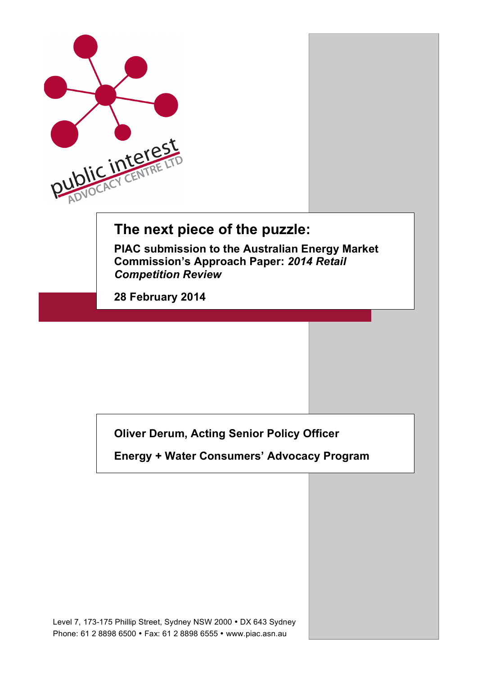

## **The next piece of the puzzle:**

**PIAC submission to the Australian Energy Market Commission's Approach Paper:** *2014 Retail Competition Review*

**28 February 2014**

**Oliver Derum, Acting Senior Policy Officer**

**Energy + Water Consumers' Advocacy Program**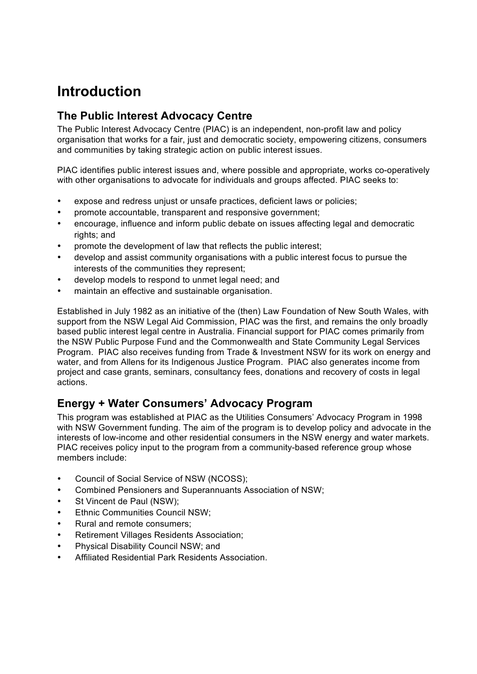# **Introduction**

### **The Public Interest Advocacy Centre**

The Public Interest Advocacy Centre (PIAC) is an independent, non-profit law and policy organisation that works for a fair, just and democratic society, empowering citizens, consumers and communities by taking strategic action on public interest issues.

PIAC identifies public interest issues and, where possible and appropriate, works co-operatively with other organisations to advocate for individuals and groups affected. PIAC seeks to:

- expose and redress unjust or unsafe practices, deficient laws or policies;
- promote accountable, transparent and responsive government;
- encourage, influence and inform public debate on issues affecting legal and democratic rights; and
- promote the development of law that reflects the public interest;
- develop and assist community organisations with a public interest focus to pursue the interests of the communities they represent;
- develop models to respond to unmet legal need; and
- maintain an effective and sustainable organisation.

Established in July 1982 as an initiative of the (then) Law Foundation of New South Wales, with support from the NSW Legal Aid Commission, PIAC was the first, and remains the only broadly based public interest legal centre in Australia. Financial support for PIAC comes primarily from the NSW Public Purpose Fund and the Commonwealth and State Community Legal Services Program. PIAC also receives funding from Trade & Investment NSW for its work on energy and water, and from Allens for its Indigenous Justice Program. PIAC also generates income from project and case grants, seminars, consultancy fees, donations and recovery of costs in legal actions.

### **Energy + Water Consumers' Advocacy Program**

This program was established at PIAC as the Utilities Consumers' Advocacy Program in 1998 with NSW Government funding. The aim of the program is to develop policy and advocate in the interests of low-income and other residential consumers in the NSW energy and water markets. PIAC receives policy input to the program from a community-based reference group whose members include:

- Council of Social Service of NSW (NCOSS);
- Combined Pensioners and Superannuants Association of NSW;
- St Vincent de Paul (NSW);
- Ethnic Communities Council NSW;
- Rural and remote consumers;
- Retirement Villages Residents Association;
- Physical Disability Council NSW; and
- Affiliated Residential Park Residents Association.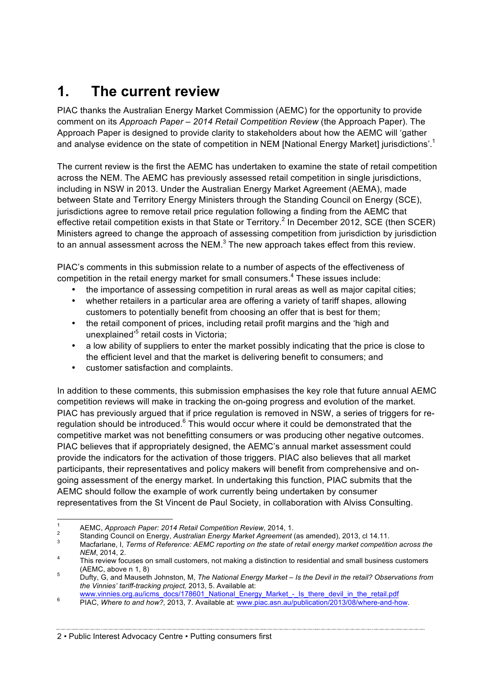## **1. The current review**

PIAC thanks the Australian Energy Market Commission (AEMC) for the opportunity to provide comment on its *Approach Paper – 2014 Retail Competition Review* (the Approach Paper). The Approach Paper is designed to provide clarity to stakeholders about how the AEMC will 'gather and analyse evidence on the state of competition in NEM [National Energy Market] jurisdictions'.<sup>1</sup>

The current review is the first the AEMC has undertaken to examine the state of retail competition across the NEM. The AEMC has previously assessed retail competition in single jurisdictions, including in NSW in 2013. Under the Australian Energy Market Agreement (AEMA), made between State and Territory Energy Ministers through the Standing Council on Energy (SCE), jurisdictions agree to remove retail price regulation following a finding from the AEMC that effective retail competition exists in that State or Territory.<sup>2</sup> In December 2012, SCE (then SCER) Ministers agreed to change the approach of assessing competition from jurisdiction by jurisdiction to an annual assessment across the NEM.<sup>3</sup> The new approach takes effect from this review.

PIAC's comments in this submission relate to a number of aspects of the effectiveness of competition in the retail energy market for small consumers.<sup>4</sup> These issues include:

- the importance of assessing competition in rural areas as well as major capital cities;
- whether retailers in a particular area are offering a variety of tariff shapes, allowing customers to potentially benefit from choosing an offer that is best for them;
- the retail component of prices, including retail profit margins and the 'high and unexplained<sup>'5</sup> retail costs in Victoria;
- a low ability of suppliers to enter the market possibly indicating that the price is close to the efficient level and that the market is delivering benefit to consumers; and
- customer satisfaction and complaints.

In addition to these comments, this submission emphasises the key role that future annual AEMC competition reviews will make in tracking the on-going progress and evolution of the market. PIAC has previously argued that if price regulation is removed in NSW, a series of triggers for reregulation should be introduced.<sup>6</sup> This would occur where it could be demonstrated that the competitive market was not benefitting consumers or was producing other negative outcomes. PIAC believes that if appropriately designed, the AEMC's annual market assessment could provide the indicators for the activation of those triggers. PIAC also believes that all market participants, their representatives and policy makers will benefit from comprehensive and ongoing assessment of the energy market. In undertaking this function, PIAC submits that the AEMC should follow the example of work currently being undertaken by consumer representatives from the St Vincent de Paul Society, in collaboration with Alviss Consulting.

<sup>&</sup>lt;sup>1</sup> AEMC, Approach Paper: 2014 Retail Competition Review, 2014, 1.<br><sup>2</sup> Standing Council on Energy, Australian Energy Market Agreement (as amended), 2013, cl 14.11.<br><sup>3</sup> Macfarlane, I, Terms of Reference: AEMC reporting on *NEM*, 2014, 2.<br><sup>4</sup> This review focuses on small customers, not making a distinction to residential and small business customers

<sup>(</sup>AEMC, above n 1, 8) <sup>5</sup> Dufty, G, and Mauseth Johnston, M, *The National Energy Market – Is the Devil in the retail? Observations from* 

*the Vinnies' tariff-tracking project,* 2013, 5. Available at:

www.vinnies.org.au/icms\_docs/178601\_National\_Energy\_Market\_\_Is\_arche\_devil\_in\_ac\_ictail.pdf 6 PIAC, *Where to and how?, 2013, 7. Available at: www.piac.asn.au/publication/2013/08/where-and-how.*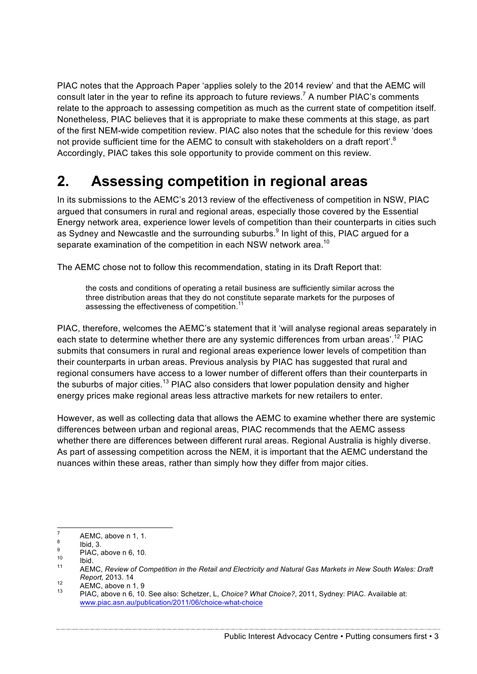PIAC notes that the Approach Paper 'applies solely to the 2014 review' and that the AEMC will consult later in the year to refine its approach to future reviews.<sup>7</sup> A number PIAC's comments relate to the approach to assessing competition as much as the current state of competition itself. Nonetheless, PIAC believes that it is appropriate to make these comments at this stage, as part of the first NEM-wide competition review. PIAC also notes that the schedule for this review 'does not provide sufficient time for the AEMC to consult with stakeholders on a draft report'.<sup>8</sup> Accordingly, PIAC takes this sole opportunity to provide comment on this review.

## **2. Assessing competition in regional areas**

In its submissions to the AEMC's 2013 review of the effectiveness of competition in NSW, PIAC argued that consumers in rural and regional areas, especially those covered by the Essential Energy network area, experience lower levels of competition than their counterparts in cities such as Sydney and Newcastle and the surrounding suburbs.<sup>9</sup> In light of this, PIAC argued for a separate examination of the competition in each NSW network area.<sup>10</sup>

The AEMC chose not to follow this recommendation, stating in its Draft Report that:

the costs and conditions of operating a retail business are sufficiently similar across the three distribution areas that they do not constitute separate markets for the purposes of assessing the effectiveness of competition.<sup>11</sup>

PIAC, therefore, welcomes the AEMC's statement that it 'will analyse regional areas separately in each state to determine whether there are any systemic differences from urban areas'.<sup>12</sup> PIAC submits that consumers in rural and regional areas experience lower levels of competition than their counterparts in urban areas. Previous analysis by PIAC has suggested that rural and regional consumers have access to a lower number of different offers than their counterparts in the suburbs of major cities.<sup>13</sup> PIAC also considers that lower population density and higher energy prices make regional areas less attractive markets for new retailers to enter.

However, as well as collecting data that allows the AEMC to examine whether there are systemic differences between urban and regional areas, PIAC recommends that the AEMC assess whether there are differences between different rural areas. Regional Australia is highly diverse. As part of assessing competition across the NEM, it is important that the AEMC understand the nuances within these areas, rather than simply how they differ from major cities.

<sup>7</sup> AEMC, above n 1, 1.<br>
<sup>8</sup> Ibid, 3.<br>
<sup>9</sup> PIAC, above n 6, 10.<br>
<sup>11</sup> AEMC, *Review of Competition in the Retail and Electricity and Natural Gas Markets in New South Wales: Draft Report, 2013. 14*<br><sup>12</sup> AEMC, above n 1, 9<br><sup>13</sup> PIAC, above n 6, 10. See also: Schetzer, L, *Choice? What Choice?*, 2011, Sydney: PIAC. Available at:

www.piac.asn.au/publication/2011/06/choice-what-choice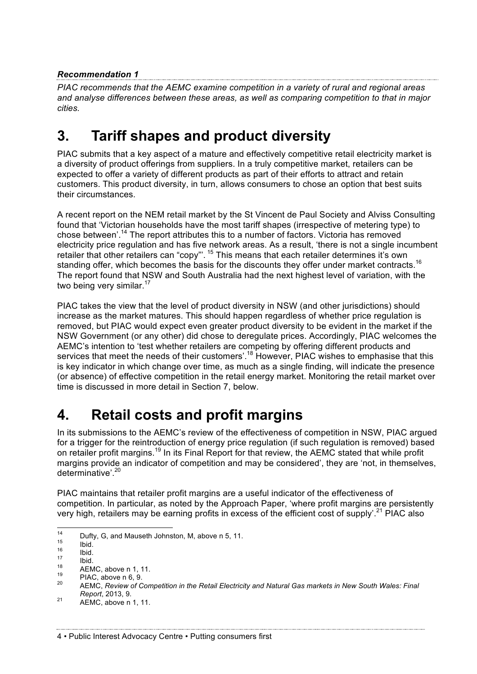#### *Recommendation 1*

*PIAC recommends that the AEMC examine competition in a variety of rural and regional areas and analyse differences between these areas, as well as comparing competition to that in major cities.*

## **3. Tariff shapes and product diversity**

PIAC submits that a key aspect of a mature and effectively competitive retail electricity market is a diversity of product offerings from suppliers. In a truly competitive market, retailers can be expected to offer a variety of different products as part of their efforts to attract and retain customers. This product diversity, in turn, allows consumers to chose an option that best suits their circumstances.

A recent report on the NEM retail market by the St Vincent de Paul Society and Alviss Consulting found that 'Victorian households have the most tariff shapes (irrespective of metering type) to chose between'.<sup>14</sup> The report attributes this to a number of factors. Victoria has removed electricity price regulation and has five network areas. As a result, 'there is not a single incumbent retailer that other retailers can "copy"'. <sup>15</sup> This means that each retailer determines it's own standing offer, which becomes the basis for the discounts they offer under market contracts.<sup>16</sup> The report found that NSW and South Australia had the next highest level of variation, with the two being very similar. $17$ 

PIAC takes the view that the level of product diversity in NSW (and other jurisdictions) should increase as the market matures. This should happen regardless of whether price regulation is removed, but PIAC would expect even greater product diversity to be evident in the market if the NSW Government (or any other) did chose to deregulate prices. Accordingly, PIAC welcomes the AEMC's intention to 'test whether retailers are competing by offering different products and services that meet the needs of their customers'.<sup>18</sup> However, PIAC wishes to emphasise that this is key indicator in which change over time, as much as a single finding, will indicate the presence (or absence) of effective competition in the retail energy market. Monitoring the retail market over time is discussed in more detail in Section 7, below.

## **4. Retail costs and profit margins**

In its submissions to the AEMC's review of the effectiveness of competition in NSW, PIAC argued for a trigger for the reintroduction of energy price regulation (if such regulation is removed) based on retailer profit margins.<sup>19</sup> In its Final Report for that review, the AEMC stated that while profit margins provide an indicator of competition and may be considered', they are 'not, in themselves, determinative'.<sup>20</sup>

PIAC maintains that retailer profit margins are a useful indicator of the effectiveness of competition. In particular, as noted by the Approach Paper, 'where profit margins are persistently very high, retailers may be earning profits in excess of the efficient cost of supply'.<sup>21</sup> PIAC also

*Report*, 2013, 9. <sup>21</sup> AEMC, above n 1, 11.

<sup>&</sup>lt;sup>14</sup><br>
15 Dufty, G, and Mauseth Johnston, M, above n 5, 11.<br>
16 Ibid.<br>
17 Ibid.<br>
18 AEMC, above n 1, 11.<br>
20 AEMC, Review of Competition in the Retail Electricity and Natural Gas markets in New South Wales: Final<br>
20 AEMC,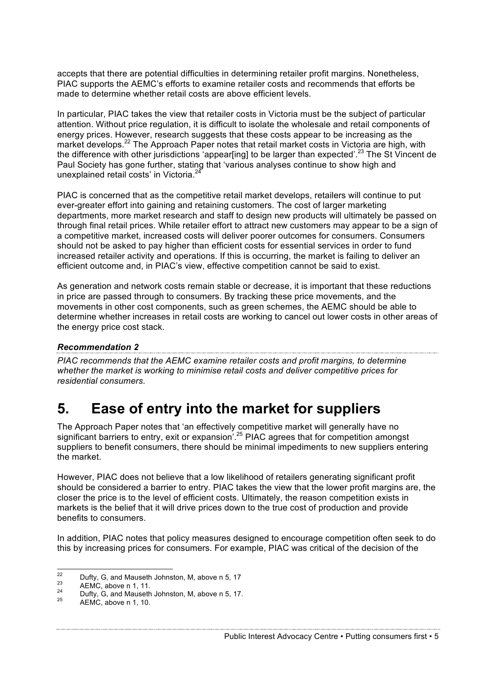accepts that there are potential difficulties in determining retailer profit margins. Nonetheless, PIAC supports the AEMC's efforts to examine retailer costs and recommends that efforts be made to determine whether retail costs are above efficient levels.

In particular, PIAC takes the view that retailer costs in Victoria must be the subject of particular attention. Without price regulation, it is difficult to isolate the wholesale and retail components of energy prices. However, research suggests that these costs appear to be increasing as the market develops.<sup>22</sup> The Approach Paper notes that retail market costs in Victoria are high, with the difference with other jurisdictions 'appear[ing] to be larger than expected'.<sup>23</sup> The St Vincent de Paul Society has gone further, stating that 'various analyses continue to show high and unexplained retail costs' in Victoria.<sup>24</sup>

PIAC is concerned that as the competitive retail market develops, retailers will continue to put ever-greater effort into gaining and retaining customers. The cost of larger marketing departments, more market research and staff to design new products will ultimately be passed on through final retail prices. While retailer effort to attract new customers may appear to be a sign of a competitive market, increased costs will deliver poorer outcomes for consumers. Consumers should not be asked to pay higher than efficient costs for essential services in order to fund increased retailer activity and operations. If this is occurring, the market is failing to deliver an efficient outcome and, in PIAC's view, effective competition cannot be said to exist.

As generation and network costs remain stable or decrease, it is important that these reductions in price are passed through to consumers. By tracking these price movements, and the movements in other cost components, such as green schemes, the AEMC should be able to determine whether increases in retail costs are working to cancel out lower costs in other areas of the energy price cost stack.

#### *Recommendation 2*

*PIAC recommends that the AEMC examine retailer costs and profit margins, to determine whether the market is working to minimise retail costs and deliver competitive prices for residential consumers.* 

### **5. Ease of entry into the market for suppliers**

The Approach Paper notes that 'an effectively competitive market will generally have no significant barriers to entry, exit or expansion<sup>'.25</sup> PIAC agrees that for competition amongst suppliers to benefit consumers, there should be minimal impediments to new suppliers entering the market.

However, PIAC does not believe that a low likelihood of retailers generating significant profit should be considered a barrier to entry. PIAC takes the view that the lower profit margins are, the closer the price is to the level of efficient costs. Ultimately, the reason competition exists in markets is the belief that it will drive prices down to the true cost of production and provide benefits to consumers.

In addition, PIAC notes that policy measures designed to encourage competition often seek to do this by increasing prices for consumers. For example, PIAC was critical of the decision of the

Public Interest Advocacy Centre • Putting consumers first • 5

<sup>&</sup>lt;sup>22</sup> Dufty, G, and Mauseth Johnston, M, above n 5, 17<br>
<sup>24</sup> AEMC, above n 1, 11.<br>
<sup>25</sup> Dufty, G, and Mauseth Johnston, M, above n 5, 17.<br>
<sup>25</sup> AEMC, above n 1, 10.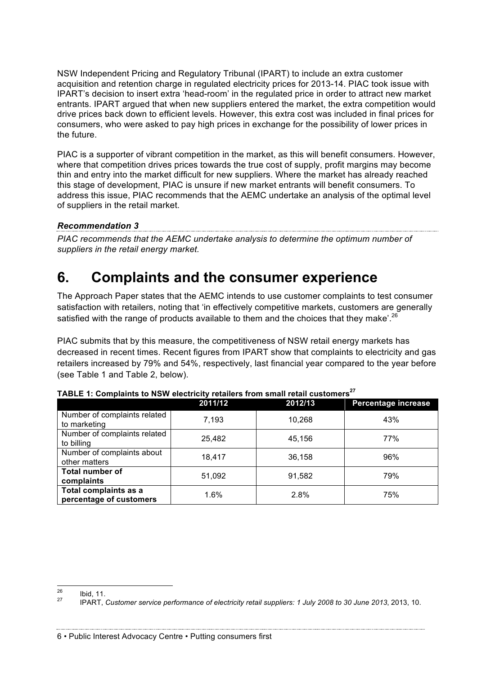NSW Independent Pricing and Regulatory Tribunal (IPART) to include an extra customer acquisition and retention charge in regulated electricity prices for 2013-14. PIAC took issue with IPART's decision to insert extra 'head-room' in the regulated price in order to attract new market entrants. IPART argued that when new suppliers entered the market, the extra competition would drive prices back down to efficient levels. However, this extra cost was included in final prices for consumers, who were asked to pay high prices in exchange for the possibility of lower prices in the future.

PIAC is a supporter of vibrant competition in the market, as this will benefit consumers. However, where that competition drives prices towards the true cost of supply, profit margins may become thin and entry into the market difficult for new suppliers. Where the market has already reached this stage of development, PIAC is unsure if new market entrants will benefit consumers. To address this issue, PIAC recommends that the AEMC undertake an analysis of the optimal level of suppliers in the retail market.

#### *Recommendation 3*

*PIAC recommends that the AEMC undertake analysis to determine the optimum number of suppliers in the retail energy market.*

## **6. Complaints and the consumer experience**

The Approach Paper states that the AEMC intends to use customer complaints to test consumer satisfaction with retailers, noting that 'in effectively competitive markets, customers are generally satisfied with the range of products available to them and the choices that they make'.<sup>26</sup>

PIAC submits that by this measure, the competitiveness of NSW retail energy markets has decreased in recent times. Recent figures from IPART show that complaints to electricity and gas retailers increased by 79% and 54%, respectively, last financial year compared to the year before (see Table 1 and Table 2, below).

|                                                  | 2011/12 | 2012/13 | Percentage increase |
|--------------------------------------------------|---------|---------|---------------------|
| Number of complaints related<br>to marketing     | 7,193   | 10,268  | 43%                 |
| Number of complaints related<br>to billing       | 25,482  | 45,156  | 77%                 |
| Number of complaints about<br>other matters      | 18.417  | 36,158  | 96%                 |
| <b>Total number of</b><br>complaints             | 51,092  | 91,582  | 79%                 |
| Total complaints as a<br>percentage of customers | $1.6\%$ | 2.8%    | 75%                 |

| TABLE 1: Complaints to NSW electricity retailers from small retail customers $^{27}$ |
|--------------------------------------------------------------------------------------|
|--------------------------------------------------------------------------------------|

<sup>26</sup> Ibid, 11. <sup>27</sup> IPART, *Customer service performance of electricity retail suppliers: 1 July 2008 to 30 June 2013*, 2013, 10.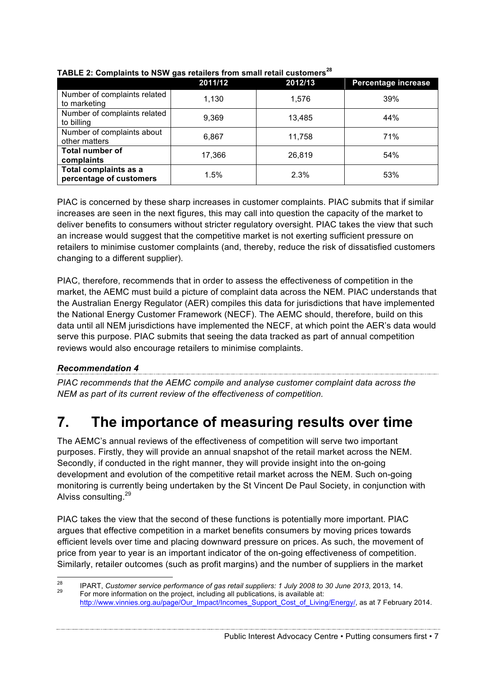|                                                  | 2011/12 | 2012/13 | Percentage increase |
|--------------------------------------------------|---------|---------|---------------------|
| Number of complaints related<br>to marketing     | 1,130   | 1.576   | 39%                 |
| Number of complaints related<br>to billing       | 9,369   | 13.485  | 44%                 |
| Number of complaints about<br>other matters      | 6,867   | 11,758  | 71%                 |
| <b>Total number of</b><br>complaints             | 17,366  | 26.819  | 54%                 |
| Total complaints as a<br>percentage of customers | 1.5%    | 2.3%    | 53%                 |

#### **TABLE 2: Complaints to NSW gas retailers from small retail customers<sup>28</sup>**

PIAC is concerned by these sharp increases in customer complaints. PIAC submits that if similar increases are seen in the next figures, this may call into question the capacity of the market to deliver benefits to consumers without stricter regulatory oversight. PIAC takes the view that such an increase would suggest that the competitive market is not exerting sufficient pressure on retailers to minimise customer complaints (and, thereby, reduce the risk of dissatisfied customers changing to a different supplier).

PIAC, therefore, recommends that in order to assess the effectiveness of competition in the market, the AEMC must build a picture of complaint data across the NEM. PIAC understands that the Australian Energy Regulator (AER) compiles this data for jurisdictions that have implemented the National Energy Customer Framework (NECF). The AEMC should, therefore, build on this data until all NEM jurisdictions have implemented the NECF, at which point the AER's data would serve this purpose. PIAC submits that seeing the data tracked as part of annual competition reviews would also encourage retailers to minimise complaints.

#### *Recommendation 4*

*PIAC recommends that the AEMC compile and analyse customer complaint data across the NEM as part of its current review of the effectiveness of competition.* 

# **7. The importance of measuring results over time**

The AEMC's annual reviews of the effectiveness of competition will serve two important purposes. Firstly, they will provide an annual snapshot of the retail market across the NEM. Secondly, if conducted in the right manner, they will provide insight into the on-going development and evolution of the competitive retail market across the NEM. Such on-going monitoring is currently being undertaken by the St Vincent De Paul Society, in conjunction with Alviss consulting.<sup>29</sup>

PIAC takes the view that the second of these functions is potentially more important. PIAC argues that effective competition in a market benefits consumers by moving prices towards efficient levels over time and placing downward pressure on prices. As such, the movement of price from year to year is an important indicator of the on-going effectiveness of competition. Similarly, retailer outcomes (such as profit margins) and the number of suppliers in the market

Public Interest Advocacy Centre • Putting consumers first • 7

<sup>&</sup>lt;sup>28</sup> IPART, *Customer service performance of gas retail suppliers: 1 July 2008 to 30 June 2013, 2013, 14.<br><sup>29</sup> For more information on the project, including all publications, is available at:* http://www.vinnies.org.au/page/Our\_Impact/Incomes\_Support\_Cost\_of\_Living/Energy/, as at 7 February 2014.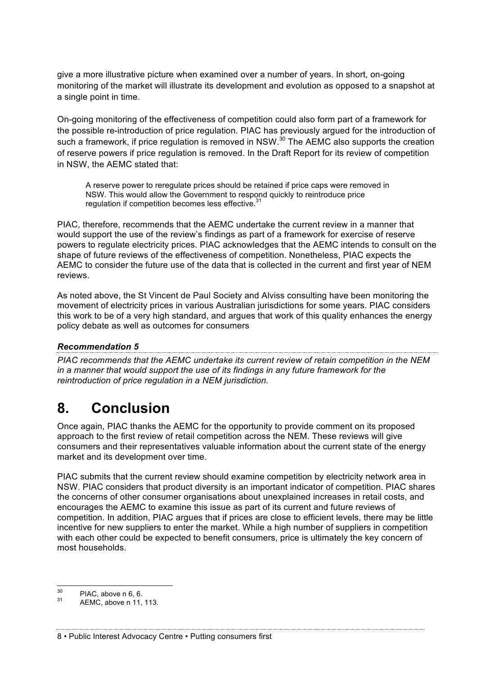give a more illustrative picture when examined over a number of years. In short, on-going monitoring of the market will illustrate its development and evolution as opposed to a snapshot at a single point in time.

On-going monitoring of the effectiveness of competition could also form part of a framework for the possible re-introduction of price regulation. PIAC has previously argued for the introduction of such a framework, if price regulation is removed in NSW.<sup>30</sup> The AEMC also supports the creation of reserve powers if price regulation is removed. In the Draft Report for its review of competition in NSW, the AEMC stated that:

A reserve power to reregulate prices should be retained if price caps were removed in NSW. This would allow the Government to respond quickly to reintroduce price regulation if competition becomes less effective.<sup>3</sup>

PIAC, therefore, recommends that the AEMC undertake the current review in a manner that would support the use of the review's findings as part of a framework for exercise of reserve powers to regulate electricity prices. PIAC acknowledges that the AEMC intends to consult on the shape of future reviews of the effectiveness of competition. Nonetheless, PIAC expects the AEMC to consider the future use of the data that is collected in the current and first year of NEM reviews.

As noted above, the St Vincent de Paul Society and Alviss consulting have been monitoring the movement of electricity prices in various Australian jurisdictions for some years. PIAC considers this work to be of a very high standard, and argues that work of this quality enhances the energy policy debate as well as outcomes for consumers

#### *Recommendation 5*

*PIAC recommends that the AEMC undertake its current review of retain competition in the NEM in a manner that would support the use of its findings in any future framework for the reintroduction of price regulation in a NEM jurisdiction.*

### **8. Conclusion**

Once again, PIAC thanks the AEMC for the opportunity to provide comment on its proposed approach to the first review of retail competition across the NEM. These reviews will give consumers and their representatives valuable information about the current state of the energy market and its development over time.

PIAC submits that the current review should examine competition by electricity network area in NSW. PIAC considers that product diversity is an important indicator of competition. PIAC shares the concerns of other consumer organisations about unexplained increases in retail costs, and encourages the AEMC to examine this issue as part of its current and future reviews of competition. In addition, PIAC argues that if prices are close to efficient levels, there may be little incentive for new suppliers to enter the market. While a high number of suppliers in competition with each other could be expected to benefit consumers, price is ultimately the key concern of most households.

 $^{30}$  PIAC, above n 6, 6.<br> $^{31}$  AEMC, above n 11, 113.